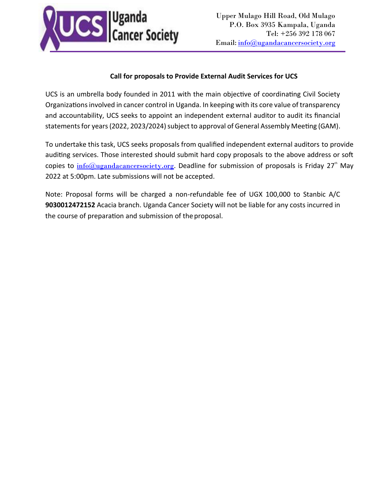

## **Call for proposals to Provide External Audit Services for UCS**

UCS is an umbrella body founded in 2011 with the main objective of coordinating Civil Society Organizations involved in cancer control in Uganda. In keeping with its core value of transparency and accountability, UCS seeks to appoint an independent external auditor to audit its financial statements for years (2022, 2023/2024) subject to approval of General Assembly Meeting (GAM).

To undertake this task, UCS seeks proposals from qualified independent external auditors to provide auditing services. Those interested should submit hard copy proposals to the above address or soft copies to  $\underline{info@ugandacancersociety.org}$  $\underline{info@ugandacancersociety.org}$  $\underline{info@ugandacancersociety.org}$ . Deadline for submission of proposals is Friday 27<sup>th</sup> May 2022 at 5:00pm. Late submissions will not be accepted.

Note: Proposal forms will be charged a non-refundable fee of UGX 100,000 to Stanbic A/C **9030012472152** Acacia branch. Uganda Cancer Society will not be liable for any costs incurred in the course of preparation and submission of the proposal.